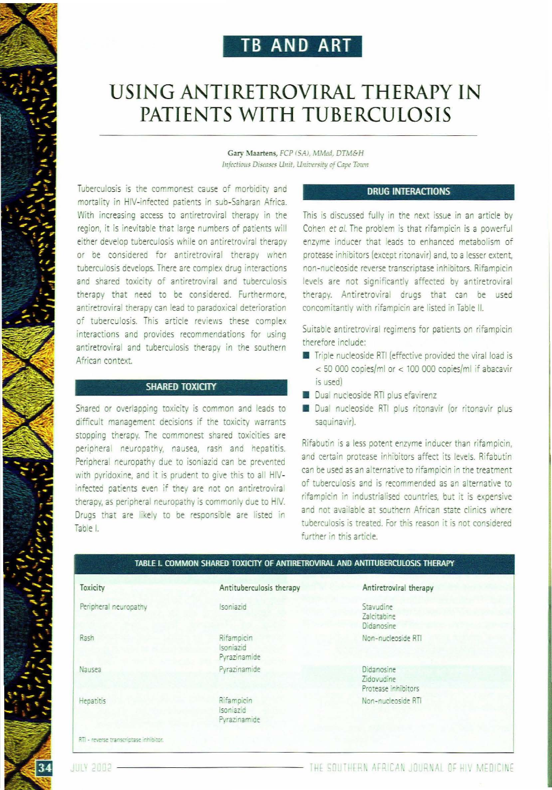## **TB AND ART**

# USING ANTIRETROVIRAL THERAPY IN PATIENTS WITH TUBERCULOSIS

Gary Maartens, FCP (SA), MMed, DTM&H Infectious Diseases Unit, University of Cape Town

Tuberculosis is the commonest cause of morbidity and mortality in HIV-infected patients in sub-Saharan Africa. With increasing access to antiretroviral therapy in the region, it is inevitable that large numbers of patients will either develop tuberculosis while on antiretroviral therapy or be considered for antiretroviral therapy when tuberculosis develops. There are complex drug interactions and shared toxicity of antiretroviral and tuberculosis therapy that need to be considered. Furthermore, antiretroviral therapy can lead to paradoxical deterioration of tuberculosis. This article reviews these complex interactions and provides recommendations for using antiretroviral and tuberculosis therapy in the southern African context.

## **SHARED TOXICITY**

Shared or overlapping toxicity is common and leads to difficult management decisions if the toxicity warrants stopping therapy. The commonest shared toxicities are peripheral neuropathy, nausea, rash and hepatitis. Peripheral neuropathy due to isoniazid can be prevented with pyridoxine, and it is prudent to give this to all HIVinfected patients even if they are not on antiretroviral therapy, as peripheral neuropathy is commonly due to HIV. Drugs that are likely to be responsible are listed in Table L

## **DRUG INTERACTIONS**

This is discussed fully in the next issue in an article by Cohen et al. The problem is that rifampicin is a powerful enzyme inducer that leads to enhanced metabolism of protease inhibitors (except ritonavir) and, to a lesser extent, non-nucleoside reverse transcriptase inhibitors. Rifampicin levels are not significantly affected by antiretroviral therapy. Antiretroviral drugs that can be used concomitantly with rifampicin are listed in Table II.

Suitable antiretroviral regimens for patients on rifampicin therefore include:

- Triple nucleoside RTI (effective provided the viral load is  $<$  50 000 copies/ml or  $<$  100 000 copies/ml if abacavir is used)
- Dual nucleoside RTI plus efavirenz
- Dual nucleoside RTI plus ritonavir (or ritonavir plus saquinavir).

Rifabutin is a less potent enzyme inducer than rifampicin, and certain protease inhibitors affect its levels. Rifabutin can be used as an alternative to rifampicin in the treatment of tuberculosis and is recommended as an alternative to rifampicin in industrialised countries, but it is expensive and not available at southern African state clinics where tuberculosis is treated. For this reason it is not considered further in this article.

| TABLE I. COMMON SHARED TOXICITY OF ANTIRETROVIRAL AND ANTITUBERCULOSIS THERAPY |                                         |                                                 |  |
|--------------------------------------------------------------------------------|-----------------------------------------|-------------------------------------------------|--|
| Toxicity                                                                       | Antituberculosis therapy                | Antiretroviral therapy                          |  |
| Peripheral neuropathy                                                          | Isoniazid                               | Stavudine<br>Zalcitabine<br>Didanosine          |  |
| Rash                                                                           | Rifampicin<br>Isoniazid<br>Pyrazinamide | Non-nucleoside RTI                              |  |
| Nausea                                                                         | Pyrazinamide                            | Didanosine<br>Zidovudine<br>Protease inhibitors |  |
| Hepatitis                                                                      | Rifampicin<br>Isoniazid<br>Pyrazinamide | Non-nucleoside RTI                              |  |
| RTI - reverse transcriptase inhibitor.                                         |                                         |                                                 |  |

34